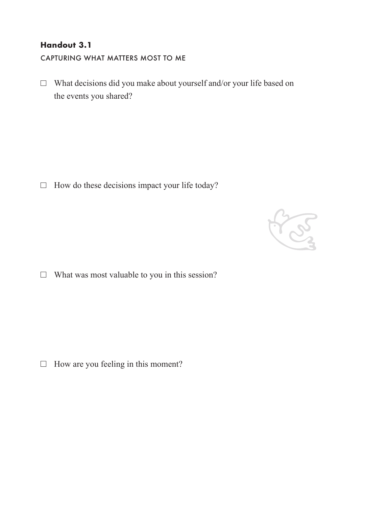## **Handout 3.1**

CAPTURING WHAT MATTERS MOST TO ME

 $\Box$  What decisions did you make about yourself and/or your life based on the events you shared?

 $\Box$  How do these decisions impact your life today?



 $\Box$  What was most valuable to you in this session?

 $\Box$  How are you feeling in this moment?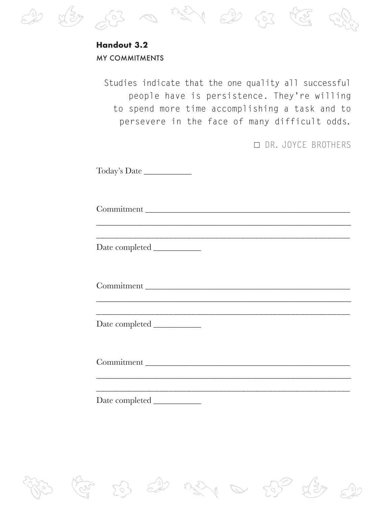

 $2\sqrt{3}$ 

Date completed \_\_\_\_\_\_\_\_\_\_\_